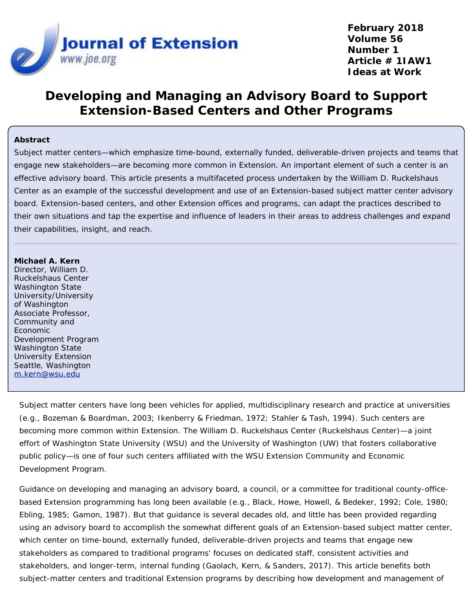

# **Developing and Managing an Advisory Board to Support Extension-Based Centers and Other Programs**

#### **Abstract**

Subject matter centers—which emphasize time-bound, externally funded, deliverable-driven projects and teams that engage new stakeholders—are becoming more common in Extension. An important element of such a center is an effective advisory board. This article presents a multifaceted process undertaken by the William D. Ruckelshaus Center as an example of the successful development and use of an Extension-based subject matter center advisory board. Extension-based centers, and other Extension offices and programs, can adapt the practices described to their own situations and tap the expertise and influence of leaders in their areas to address challenges and expand their capabilities, insight, and reach.

#### **Michael A. Kern**

Director, William D. Ruckelshaus Center Washington State University/University of Washington Associate Professor, Community and Economic Development Program Washington State University Extension Seattle, Washington [m.kern@wsu.edu](mailto:m.kern@wsu.edu)

Subject matter centers have long been vehicles for applied, multidisciplinary research and practice at universities (e.g., Bozeman & Boardman, 2003; Ikenberry & Friedman, 1972; Stahler & Tash, 1994). Such centers are becoming more common within Extension. The William D. Ruckelshaus Center (Ruckelshaus Center)—a joint effort of Washington State University (WSU) and the University of Washington (UW) that fosters collaborative public policy—is one of four such centers affiliated with the WSU Extension Community and Economic Development Program.

Guidance on developing and managing an advisory board, a council, or a committee for traditional county-officebased Extension programming has long been available (e.g., Black, Howe, Howell, & Bedeker, 1992; Cole, 1980; Ebling, 1985; Gamon, 1987). But that guidance is several decades old, and little has been provided regarding using an advisory board to accomplish the somewhat different goals of an Extension-based subject matter center, which center on time-bound, externally funded, deliverable-driven projects and teams that engage new stakeholders as compared to traditional programs' focuses on dedicated staff, consistent activities and stakeholders, and longer-term, internal funding (Gaolach, Kern, & Sanders, 2017). This article benefits both subject-matter centers and traditional Extension programs by describing how development and management of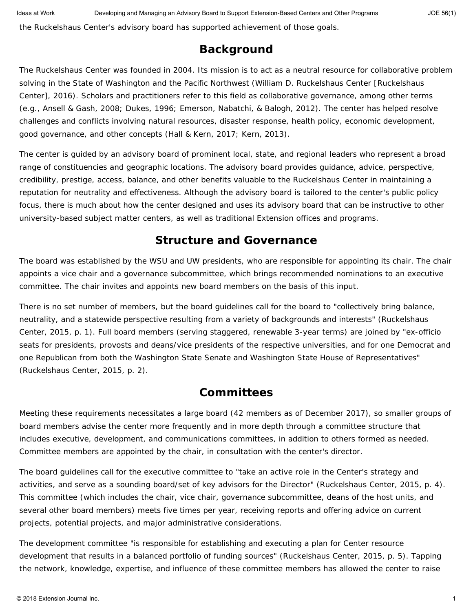the Ruckelshaus Center's advisory board has supported achievement of those goals.

### **Background**

The Ruckelshaus Center was founded in 2004. Its mission is to act as a neutral resource for collaborative problem solving in the State of Washington and the Pacific Northwest (William D. Ruckelshaus Center [Ruckelshaus Center], 2016). Scholars and practitioners refer to this field as collaborative governance, among other terms (e.g., Ansell & Gash, 2008; Dukes, 1996; Emerson, Nabatchi, & Balogh, 2012). The center has helped resolve challenges and conflicts involving natural resources, disaster response, health policy, economic development, good governance, and other concepts (Hall & Kern, 2017; Kern, 2013).

The center is guided by an advisory board of prominent local, state, and regional leaders who represent a broad range of constituencies and geographic locations. The advisory board provides guidance, advice, perspective, credibility, prestige, access, balance, and other benefits valuable to the Ruckelshaus Center in maintaining a reputation for neutrality and effectiveness. Although the advisory board is tailored to the center's public policy focus, there is much about how the center designed and uses its advisory board that can be instructive to other university-based subject matter centers, as well as traditional Extension offices and programs.

#### **Structure and Governance**

The board was established by the WSU and UW presidents, who are responsible for appointing its chair. The chair appoints a vice chair and a governance subcommittee, which brings recommended nominations to an executive committee. The chair invites and appoints new board members on the basis of this input.

There is no set number of members, but the board guidelines call for the board to "collectively bring balance, neutrality, and a statewide perspective resulting from a variety of backgrounds and interests" (Ruckelshaus Center, 2015, p. 1). Full board members (serving staggered, renewable 3-year terms) are joined by "ex-officio seats for presidents, provosts and deans/vice presidents of the respective universities, and for one Democrat and one Republican from both the Washington State Senate and Washington State House of Representatives" (Ruckelshaus Center, 2015, p. 2).

## **Committees**

Meeting these requirements necessitates a large board (42 members as of December 2017), so smaller groups of board members advise the center more frequently and in more depth through a committee structure that includes executive, development, and communications committees, in addition to others formed as needed. Committee members are appointed by the chair, in consultation with the center's director.

The board guidelines call for the executive committee to "take an active role in the Center's strategy and activities, and serve as a sounding board/set of key advisors for the Director" (Ruckelshaus Center, 2015, p. 4). This committee (which includes the chair, vice chair, governance subcommittee, deans of the host units, and several other board members) meets five times per year, receiving reports and offering advice on current projects, potential projects, and major administrative considerations.

The development committee "is responsible for establishing and executing a plan for Center resource development that results in a balanced portfolio of funding sources" (Ruckelshaus Center, 2015, p. 5). Tapping the network, knowledge, expertise, and influence of these committee members has allowed the center to raise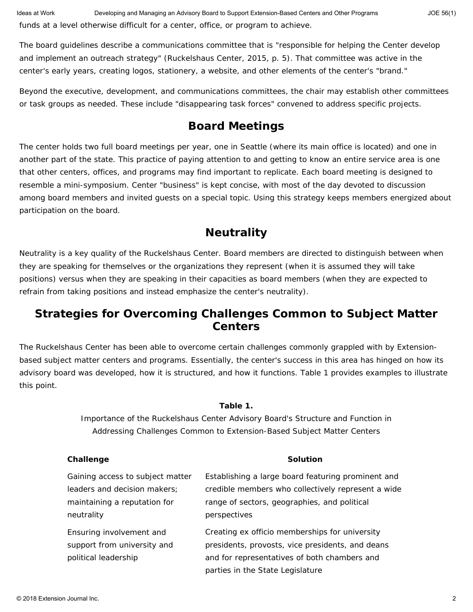The board guidelines describe a communications committee that is "responsible for helping the Center develop and implement an outreach strategy" (Ruckelshaus Center, 2015, p. 5). That committee was active in the center's early years, creating logos, stationery, a website, and other elements of the center's "brand."

Beyond the executive, development, and communications committees, the chair may establish other committees or task groups as needed. These include "disappearing task forces" convened to address specific projects.

## **Board Meetings**

The center holds two full board meetings per year, one in Seattle (where its main office is located) and one in another part of the state. This practice of paying attention to and getting to know an entire service area is one that other centers, offices, and programs may find important to replicate. Each board meeting is designed to resemble a mini-symposium. Center "business" is kept concise, with most of the day devoted to discussion among board members and invited guests on a special topic. Using this strategy keeps members energized about participation on the board.

## **Neutrality**

Neutrality is a key quality of the Ruckelshaus Center. Board members are directed to distinguish between when they are speaking for themselves or the organizations they represent (when it is assumed they will take positions) versus when they are speaking in their capacities as board members (when they are expected to refrain from taking positions and instead emphasize the center's neutrality).

### **Strategies for Overcoming Challenges Common to Subject Matter Centers**

The Ruckelshaus Center has been able to overcome certain challenges commonly grappled with by Extensionbased subject matter centers and programs. Essentially, the center's success in this area has hinged on how its advisory board was developed, how it is structured, and how it functions. Table 1 provides examples to illustrate this point.

#### **Table 1.**

Importance of the Ruckelshaus Center Advisory Board's Structure and Function in Addressing Challenges Common to Extension-Based Subject Matter Centers

| Challenge                                                                       | <b>Solution</b>                                                                                                                                                                        |
|---------------------------------------------------------------------------------|----------------------------------------------------------------------------------------------------------------------------------------------------------------------------------------|
| Gaining access to subject matter                                                | Establishing a large board featuring prominent and                                                                                                                                     |
| leaders and decision makers:                                                    | credible members who collectively represent a wide                                                                                                                                     |
| maintaining a reputation for                                                    | range of sectors, geographies, and political                                                                                                                                           |
| neutrality                                                                      | perspectives                                                                                                                                                                           |
| Ensuring involvement and<br>support from university and<br>political leadership | Creating ex officio memberships for university<br>presidents, provosts, vice presidents, and deans<br>and for representatives of both chambers and<br>parties in the State Legislature |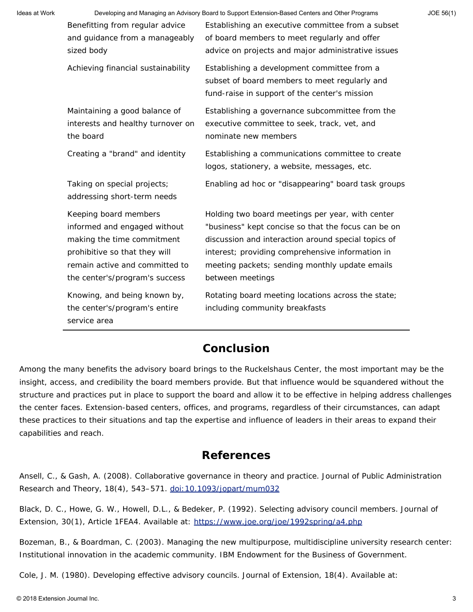|                                    |                                                     | JOE 56(1)                                                                                       |
|------------------------------------|-----------------------------------------------------|-------------------------------------------------------------------------------------------------|
| Benefitting from regular advice    | Establishing an executive committee from a subset   |                                                                                                 |
| and guidance from a manageably     | of board members to meet regularly and offer        |                                                                                                 |
| sized body                         | advice on projects and major administrative issues  |                                                                                                 |
| Achieving financial sustainability | Establishing a development committee from a         |                                                                                                 |
|                                    | subset of board members to meet regularly and       |                                                                                                 |
|                                    | fund-raise in support of the center's mission       |                                                                                                 |
| Maintaining a good balance of      | Establishing a governance subcommittee from the     |                                                                                                 |
| interests and healthy turnover on  | executive committee to seek, track, vet, and        |                                                                                                 |
| the board                          | nominate new members                                |                                                                                                 |
| Creating a "brand" and identity    | Establishing a communications committee to create   |                                                                                                 |
|                                    | logos, stationery, a website, messages, etc.        |                                                                                                 |
| Taking on special projects;        | Enabling ad hoc or "disappearing" board task groups |                                                                                                 |
| addressing short-term needs        |                                                     |                                                                                                 |
| Keeping board members              | Holding two board meetings per year, with center    |                                                                                                 |
| informed and engaged without       | "business" kept concise so that the focus can be on |                                                                                                 |
| making the time commitment         | discussion and interaction around special topics of |                                                                                                 |
| prohibitive so that they will      | interest; providing comprehensive information in    |                                                                                                 |
| remain active and committed to     | meeting packets; sending monthly update emails      |                                                                                                 |
| the center's/program's success     | between meetings                                    |                                                                                                 |
| Knowing, and being known by,       | Rotating board meeting locations across the state;  |                                                                                                 |
| the center's/program's entire      | including community breakfasts                      |                                                                                                 |
| service area                       |                                                     |                                                                                                 |
|                                    |                                                     | Developing and Managing an Advisory Board to Support Extension-Based Centers and Other Programs |

#### **Conclusion**

Among the many benefits the advisory board brings to the Ruckelshaus Center, the most important may be the insight, access, and credibility the board members provide. But that influence would be squandered without the structure and practices put in place to support the board and allow it to be effective in helping address challenges the center faces. Extension-based centers, offices, and programs, regardless of their circumstances, can adapt these practices to their situations and tap the expertise and influence of leaders in their areas to expand their capabilities and reach.

#### **References**

Ansell, C., & Gash, A. (2008). Collaborative governance in theory and practice. *Journal of Public Administration Research and Theory*, 18(4), 543–571. [doi:10.1093/jopart/mum032](doi:%2010.1093/jopart/mum032)

Black, D. C., Howe, G. W., Howell, D.L., & Bedeker, P. (1992). Selecting advisory council members. *Journal of Extension*, *30*(1), Article 1FEA4. Available at:<https://www.joe.org/joe/1992spring/a4.php>

Bozeman, B., & Boardman, C. (2003). *Managing the new multipurpose, multidiscipline university research center: Institutional innovation in the academic community*. IBM Endowment for the Business of Government.

Cole, J. M. (1980). Developing effective advisory councils. *Journal of Extension*, *18*(4). Available at: